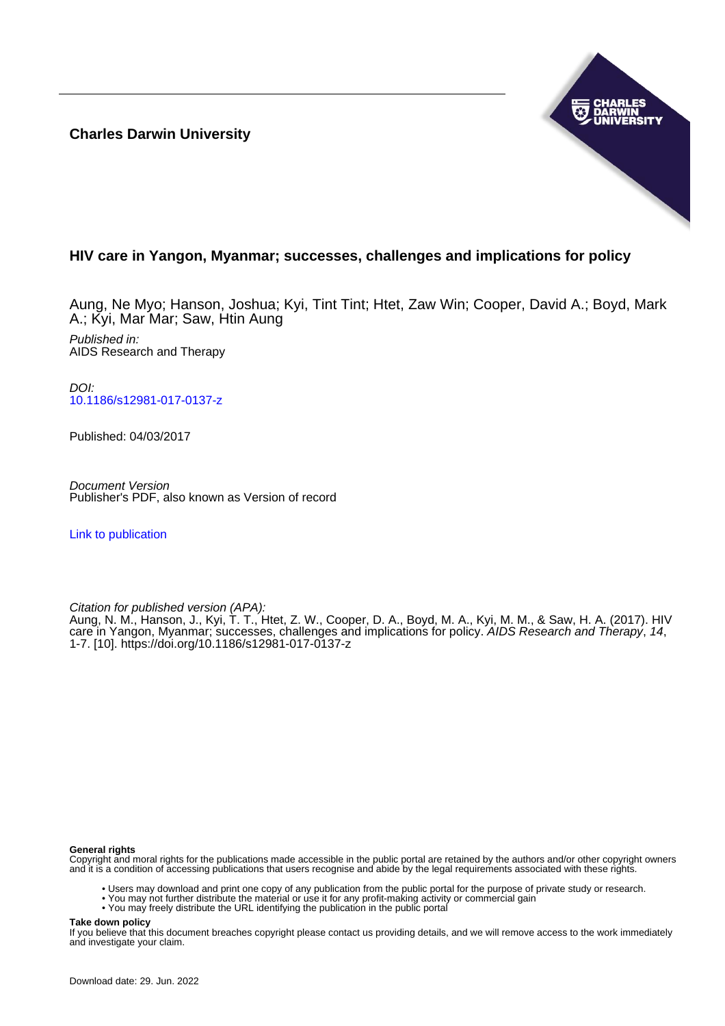**Charles Darwin University**



# **HIV care in Yangon, Myanmar; successes, challenges and implications for policy**

Aung, Ne Myo; Hanson, Joshua; Kyi, Tint Tint; Htet, Zaw Win; Cooper, David A.; Boyd, Mark A.; Kyi, Mar Mar; Saw, Htin Aung Published in: AIDS Research and Therapy

DOI: [10.1186/s12981-017-0137-z](https://doi.org/10.1186/s12981-017-0137-z)

Published: 04/03/2017

Document Version Publisher's PDF, also known as Version of record

[Link to publication](https://researchers.cdu.edu.au/en/publications/fdb92a3e-164b-44ce-8504-983a821ab0bc)

Citation for published version (APA):

Aung, N. M., Hanson, J., Kyi, T. T., Htet, Z. W., Cooper, D. A., Boyd, M. A., Kyi, M. M., & Saw, H. A. (2017). HIV care in Yangon, Myanmar; successes, challenges and implications for policy. AIDS Research and Therapy, 14, 1-7. [10].<https://doi.org/10.1186/s12981-017-0137-z>

## **General rights**

Copyright and moral rights for the publications made accessible in the public portal are retained by the authors and/or other copyright owners and it is a condition of accessing publications that users recognise and abide by the legal requirements associated with these rights.

- Users may download and print one copy of any publication from the public portal for the purpose of private study or research.
- You may not further distribute the material or use it for any profit-making activity or commercial gain
- You may freely distribute the URL identifying the publication in the public portal

**Take down policy**

If you believe that this document breaches copyright please contact us providing details, and we will remove access to the work immediately and investigate your claim.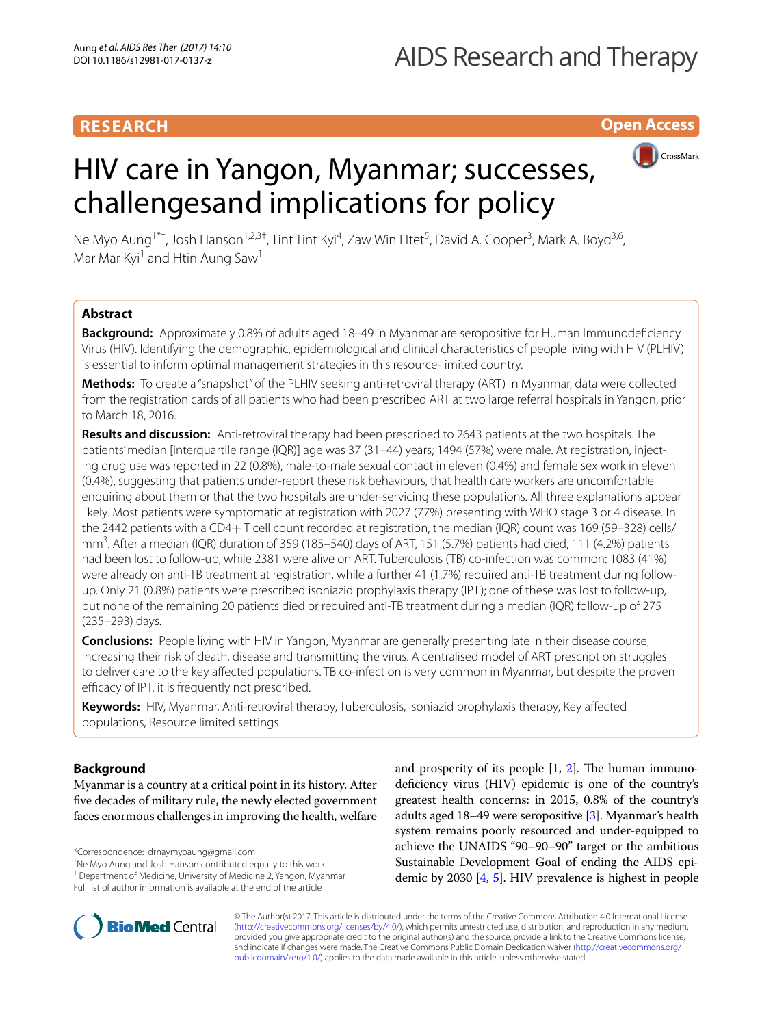# **Open Access**



# HIV care in Yangon, Myanmar; successes, challengesand implications for policy

Ne Myo Aung<sup>1\*†</sup>, Josh Hanson<sup>1,2,3†</sup>, Tint Tint Kyi<sup>4</sup>, Zaw Win Htet<sup>5</sup>, David A. Cooper<sup>3</sup>, Mark A. Boyd<sup>3,6</sup>, Mar Mar Kyi<sup>1</sup> and Htin Aung Saw<sup>1</sup>

# **Abstract**

**Background:** Approximately 0.8% of adults aged 18–49 in Myanmar are seropositive for Human Immunodeficiency Virus (HIV). Identifying the demographic, epidemiological and clinical characteristics of people living with HIV (PLHIV) is essential to inform optimal management strategies in this resource-limited country.

**Methods:** To create a "snapshot" of the PLHIV seeking anti-retroviral therapy (ART) in Myanmar, data were collected from the registration cards of all patients who had been prescribed ART at two large referral hospitals in Yangon, prior to March 18, 2016.

**Results and discussion:** Anti-retroviral therapy had been prescribed to 2643 patients at the two hospitals. The patients' median [interquartile range (IQR)] age was 37 (31–44) years; 1494 (57%) were male. At registration, injecting drug use was reported in 22 (0.8%), male-to-male sexual contact in eleven (0.4%) and female sex work in eleven (0.4%), suggesting that patients under-report these risk behaviours, that health care workers are uncomfortable enquiring about them or that the two hospitals are under-servicing these populations. All three explanations appear likely. Most patients were symptomatic at registration with 2027 (77%) presenting with WHO stage 3 or 4 disease. In the 2442 patients with a CD4+ T cell count recorded at registration, the median (IQR) count was 169 (59–328) cells/ mm<sup>3</sup>. After a median (IQR) duration of 359 (185–540) days of ART, 151 (5.7%) patients had died, 111 (4.2%) patients had been lost to follow-up, while 2381 were alive on ART. Tuberculosis (TB) co-infection was common: 1083 (41%) were already on anti-TB treatment at registration, while a further 41 (1.7%) required anti-TB treatment during followup. Only 21 (0.8%) patients were prescribed isoniazid prophylaxis therapy (IPT); one of these was lost to follow-up, but none of the remaining 20 patients died or required anti-TB treatment during a median (IQR) follow-up of 275 (235–293) days.

**Conclusions:** People living with HIV in Yangon, Myanmar are generally presenting late in their disease course, increasing their risk of death, disease and transmitting the virus. A centralised model of ART prescription struggles to deliver care to the key affected populations. TB co-infection is very common in Myanmar, but despite the proven efficacy of IPT, it is frequently not prescribed.

**Keywords:** HIV, Myanmar, Anti-retroviral therapy, Tuberculosis, Isoniazid prophylaxis therapy, Key affected populations, Resource limited settings

# **Background**

Myanmar is a country at a critical point in its history. After five decades of military rule, the newly elected government faces enormous challenges in improving the health, welfare

\*Correspondence: drnaymyoaung@gmail.com

† Ne Myo Aung and Josh Hanson contributed equally to this work <sup>1</sup> Department of Medicine, University of Medicine 2, Yangon, Myanmar

Full list of author information is available at the end of the article

and prosperity of its people  $[1, 2]$  $[1, 2]$  $[1, 2]$  $[1, 2]$  $[1, 2]$ . The human immunodeficiency virus (HIV) epidemic is one of the country's greatest health concerns: in 2015, 0.8% of the country's adults aged 18–49 were seropositive [\[3](#page-6-2)]. Myanmar's health system remains poorly resourced and under-equipped to achieve the UNAIDS "90–90–90" target or the ambitious Sustainable Development Goal of ending the AIDS epidemic by 2030 [\[4,](#page-6-3) [5\]](#page-6-4). HIV prevalence is highest in people



© The Author(s) 2017. This article is distributed under the terms of the Creative Commons Attribution 4.0 International License [\(http://creativecommons.org/licenses/by/4.0/\)](http://creativecommons.org/licenses/by/4.0/), which permits unrestricted use, distribution, and reproduction in any medium, provided you give appropriate credit to the original author(s) and the source, provide a link to the Creative Commons license, and indicate if changes were made. The Creative Commons Public Domain Dedication waiver ([http://creativecommons.org/](http://creativecommons.org/publicdomain/zero/1.0/) [publicdomain/zero/1.0/](http://creativecommons.org/publicdomain/zero/1.0/)) applies to the data made available in this article, unless otherwise stated.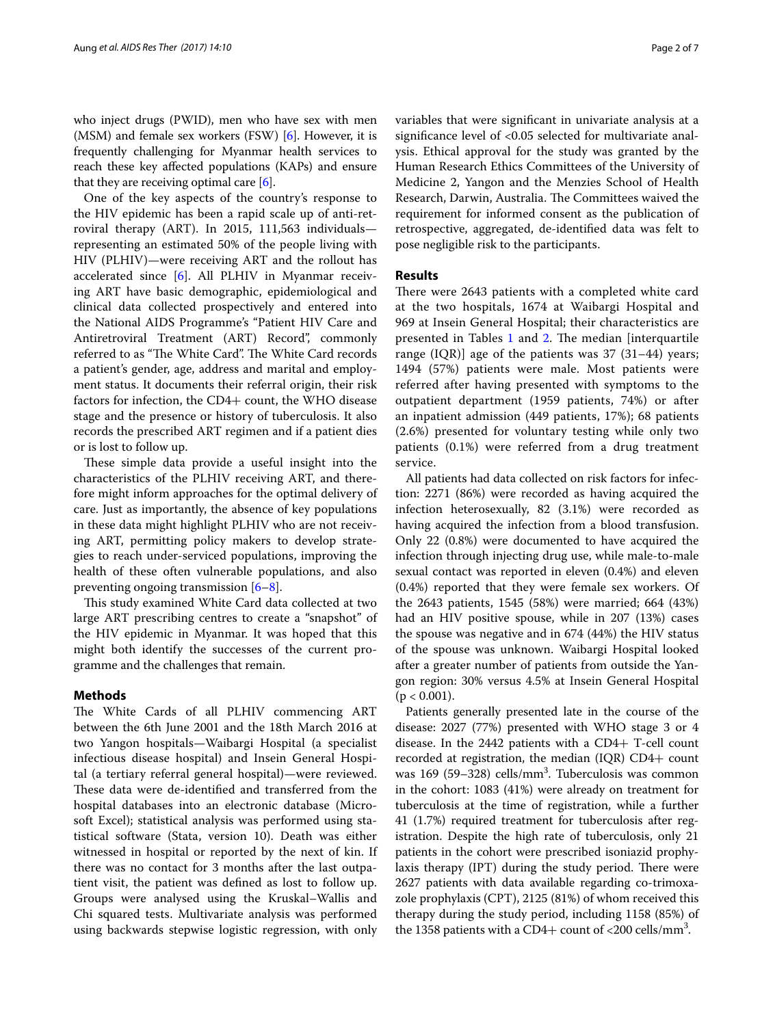who inject drugs (PWID), men who have sex with men  $(MSM)$  and female sex workers (FSW) [\[6\]](#page-6-5). However, it is frequently challenging for Myanmar health services to reach these key affected populations (KAPs) and ensure that they are receiving optimal care [\[6](#page-6-5)].

One of the key aspects of the country's response to the HIV epidemic has been a rapid scale up of anti-retroviral therapy (ART). In 2015, 111,563 individuals representing an estimated 50% of the people living with HIV (PLHIV)—were receiving ART and the rollout has accelerated since [[6\]](#page-6-5). All PLHIV in Myanmar receiving ART have basic demographic, epidemiological and clinical data collected prospectively and entered into the National AIDS Programme's "Patient HIV Care and Antiretroviral Treatment (ART) Record", commonly referred to as "The White Card". The White Card records a patient's gender, age, address and marital and employment status. It documents their referral origin, their risk factors for infection, the CD4+ count, the WHO disease stage and the presence or history of tuberculosis. It also records the prescribed ART regimen and if a patient dies or is lost to follow up.

These simple data provide a useful insight into the characteristics of the PLHIV receiving ART, and therefore might inform approaches for the optimal delivery of care. Just as importantly, the absence of key populations in these data might highlight PLHIV who are not receiving ART, permitting policy makers to develop strategies to reach under-serviced populations, improving the health of these often vulnerable populations, and also preventing ongoing transmission  $[6-8]$  $[6-8]$  $[6-8]$ .

This study examined White Card data collected at two large ART prescribing centres to create a "snapshot" of the HIV epidemic in Myanmar. It was hoped that this might both identify the successes of the current programme and the challenges that remain.

# **Methods**

The White Cards of all PLHIV commencing ART between the 6th June 2001 and the 18th March 2016 at two Yangon hospitals—Waibargi Hospital (a specialist infectious disease hospital) and Insein General Hospital (a tertiary referral general hospital)—were reviewed. These data were de-identified and transferred from the hospital databases into an electronic database (Microsoft Excel); statistical analysis was performed using statistical software (Stata, version 10). Death was either witnessed in hospital or reported by the next of kin. If there was no contact for 3 months after the last outpatient visit, the patient was defined as lost to follow up. Groups were analysed using the Kruskal–Wallis and Chi squared tests. Multivariate analysis was performed using backwards stepwise logistic regression, with only variables that were significant in univariate analysis at a significance level of <0.05 selected for multivariate analysis. Ethical approval for the study was granted by the Human Research Ethics Committees of the University of Medicine 2, Yangon and the Menzies School of Health Research, Darwin, Australia. The Committees waived the requirement for informed consent as the publication of retrospective, aggregated, de-identified data was felt to pose negligible risk to the participants.

## **Results**

There were 2643 patients with a completed white card at the two hospitals, 1674 at Waibargi Hospital and 969 at Insein General Hospital; their characteristics are presented in Tables [1](#page-3-0) and [2](#page-3-1). The median [interquartile range (IQR)] age of the patients was 37 (31–44) years; 1494 (57%) patients were male. Most patients were referred after having presented with symptoms to the outpatient department (1959 patients, 74%) or after an inpatient admission (449 patients, 17%); 68 patients (2.6%) presented for voluntary testing while only two patients (0.1%) were referred from a drug treatment service.

All patients had data collected on risk factors for infection: 2271 (86%) were recorded as having acquired the infection heterosexually, 82 (3.1%) were recorded as having acquired the infection from a blood transfusion. Only 22 (0.8%) were documented to have acquired the infection through injecting drug use, while male-to-male sexual contact was reported in eleven (0.4%) and eleven (0.4%) reported that they were female sex workers. Of the 2643 patients, 1545 (58%) were married; 664 (43%) had an HIV positive spouse, while in 207 (13%) cases the spouse was negative and in 674 (44%) the HIV status of the spouse was unknown. Waibargi Hospital looked after a greater number of patients from outside the Yangon region: 30% versus 4.5% at Insein General Hospital  $(p < 0.001)$ .

Patients generally presented late in the course of the disease: 2027 (77%) presented with WHO stage 3 or 4 disease. In the 2442 patients with a CD4+ T-cell count recorded at registration, the median (IQR) CD4+ count was 169 (59–328) cells/mm<sup>3</sup>. Tuberculosis was common in the cohort: 1083 (41%) were already on treatment for tuberculosis at the time of registration, while a further 41 (1.7%) required treatment for tuberculosis after registration. Despite the high rate of tuberculosis, only 21 patients in the cohort were prescribed isoniazid prophylaxis therapy (IPT) during the study period. There were 2627 patients with data available regarding co-trimoxazole prophylaxis (CPT), 2125 (81%) of whom received this therapy during the study period, including 1158 (85%) of the 1358 patients with a CD4+ count of  $<$ 200 cells/mm<sup>3</sup>.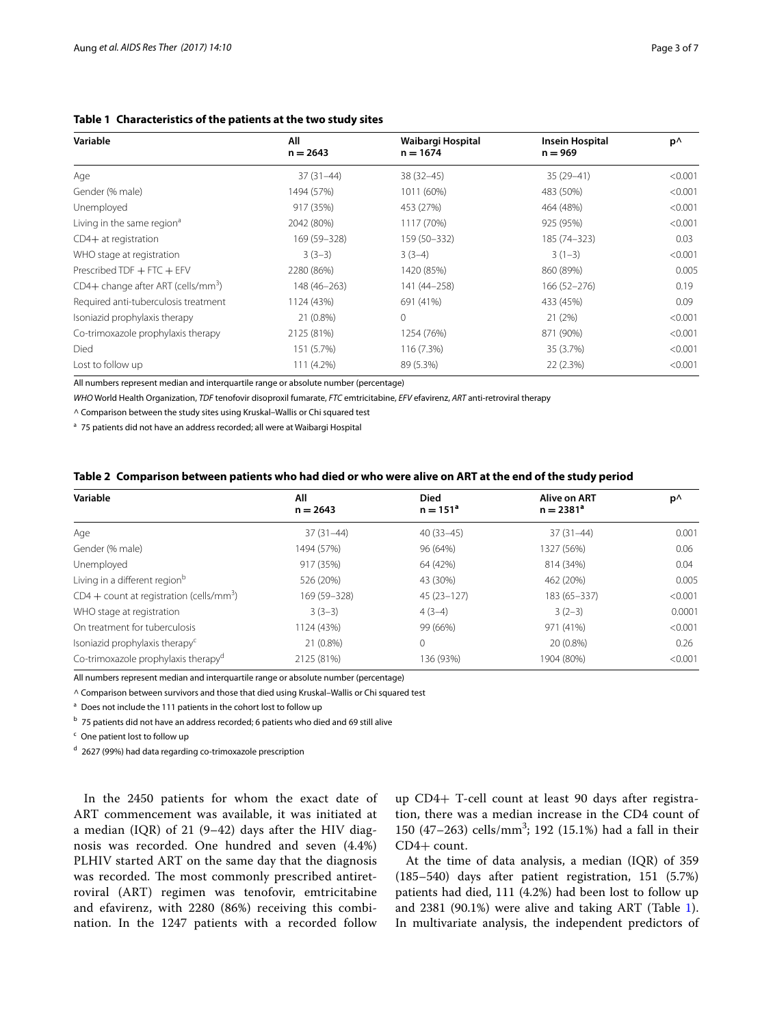<span id="page-3-0"></span>

| Table 1 Characteristics of the patients at the two study sites |    |                   |
|----------------------------------------------------------------|----|-------------------|
| <b>Nariahlo</b>                                                | ΛH | Maihargi Hocnital |

| Variable                                       | All          | Waibargi Hospital | <b>Insein Hospital</b> | p٨      |
|------------------------------------------------|--------------|-------------------|------------------------|---------|
|                                                | $n = 2643$   | $n = 1674$        | $n = 969$              |         |
| Age                                            | $37(31-44)$  | $38(32 - 45)$     | $35(29-41)$            | < 0.001 |
| Gender (% male)                                | 1494 (57%)   | 1011 (60%)        | 483 (50%)              | < 0.001 |
| Unemployed                                     | 917 (35%)    | 453 (27%)         | 464 (48%)              | < 0.001 |
| Living in the same region <sup>a</sup>         | 2042 (80%)   | 1117 (70%)        | 925 (95%)              | < 0.001 |
| $CD4+$ at registration                         | 169 (59-328) | 159 (50-332)      | 185 (74-323)           | 0.03    |
| WHO stage at registration                      | $3(3-3)$     | $3(3-4)$          | $3(1-3)$               | < 0.001 |
| Prescribed TDF $+$ FTC $+$ EFV                 | 2280 (86%)   | 1420 (85%)        | 860 (89%)              | 0.005   |
| CD4+ change after ART (cells/mm <sup>3</sup> ) | 148 (46-263) | 141 (44-258)      | 166 (52-276)           | 0.19    |
| Required anti-tuberculosis treatment           | 1124 (43%)   | 691 (41%)         | 433 (45%)              | 0.09    |
| Isoniazid prophylaxis therapy                  | 21 (0.8%)    | 0                 | 21(2%)                 | < 0.001 |
| Co-trimoxazole prophylaxis therapy             | 2125 (81%)   | 1254 (76%)        | 871 (90%)              | < 0.001 |
| Died                                           | 151 (5.7%)   | 116 (7.3%)        | 35 (3.7%)              | < 0.001 |
| Lost to follow up                              | 111 (4.2%)   | 89 (5.3%)         | 22 (2.3%)              | < 0.001 |

All numbers represent median and interquartile range or absolute number (percentage)

*WHO* World Health Organization, *TDF* tenofovir disoproxil fumarate, *FTC* emtricitabine, *EFV* efavirenz, *ART* anti-retroviral therapy

^ Comparison between the study sites using Kruskal–Wallis or Chi squared test

<sup>a</sup> 75 patients did not have an address recorded; all were at Waibargi Hospital

<span id="page-3-1"></span>

|  |  | Table 2 Comparison between patients who had died or who were alive on ART at the end of the study period |  |
|--|--|----------------------------------------------------------------------------------------------------------|--|
|--|--|----------------------------------------------------------------------------------------------------------|--|

| Variable                                               | All<br>$n = 2643$ | <b>Died</b><br>$n = 151^a$ | Alive on ART<br>$n = 2381^a$ | p^      |
|--------------------------------------------------------|-------------------|----------------------------|------------------------------|---------|
|                                                        |                   |                            |                              |         |
| Age                                                    | $37(31-44)$       | $40(33-45)$                | $37(31-44)$                  | 0.001   |
| Gender (% male)                                        | 1494 (57%)        | 96 (64%)                   | 1327 (56%)                   | 0.06    |
| Unemployed                                             | 917 (35%)         | 64 (42%)                   | 814 (34%)                    | 0.04    |
| Living in a different region <sup>b</sup>              | 526 (20%)         | 43 (30%)                   | 462 (20%)                    | 0.005   |
| $CD4 + count$ at registration (cells/mm <sup>3</sup> ) | 169 (59-328)      | $45(23 - 127)$             | 183 (65-337)                 | < 0.001 |
| WHO stage at registration                              | $3(3-3)$          | $4(3-4)$                   | $3(2-3)$                     | 0.0001  |
| On treatment for tuberculosis                          | 1124 (43%)        | 99 (66%)                   | 971 (41%)                    | < 0.001 |
| Isoniazid prophylaxis therapy <sup>c</sup>             | 21 (0.8%)         | $\Omega$                   | 20 (0.8%)                    | 0.26    |
| Co-trimoxazole prophylaxis therapy <sup>d</sup>        | 2125 (81%)        | 136 (93%)                  | 1904 (80%)                   | < 0.001 |

All numbers represent median and interquartile range or absolute number (percentage)

^ Comparison between survivors and those that died using Kruskal–Wallis or Chi squared test

<sup>a</sup> Does not include the 111 patients in the cohort lost to follow up

<sup>b</sup> 75 patients did not have an address recorded; 6 patients who died and 69 still alive

<sup>c</sup> One patient lost to follow up

<sup>d</sup> 2627 (99%) had data regarding co-trimoxazole prescription

In the 2450 patients for whom the exact date of ART commencement was available, it was initiated at a median (IQR) of 21 (9–42) days after the HIV diagnosis was recorded. One hundred and seven (4.4%) PLHIV started ART on the same day that the diagnosis was recorded. The most commonly prescribed antiretroviral (ART) regimen was tenofovir, emtricitabine and efavirenz, with 2280 (86%) receiving this combination. In the 1247 patients with a recorded follow

up CD4+ T-cell count at least 90 days after registration, there was a median increase in the CD4 count of 150 (47–263) cells/mm<sup>3</sup>; 192 (15.1%) had a fall in their CD4+ count.

At the time of data analysis, a median (IQR) of 359 (185–540) days after patient registration, 151 (5.7%) patients had died, 111 (4.2%) had been lost to follow up and 2381 (90.1%) were alive and taking ART (Table [1](#page-3-0)). In multivariate analysis, the independent predictors of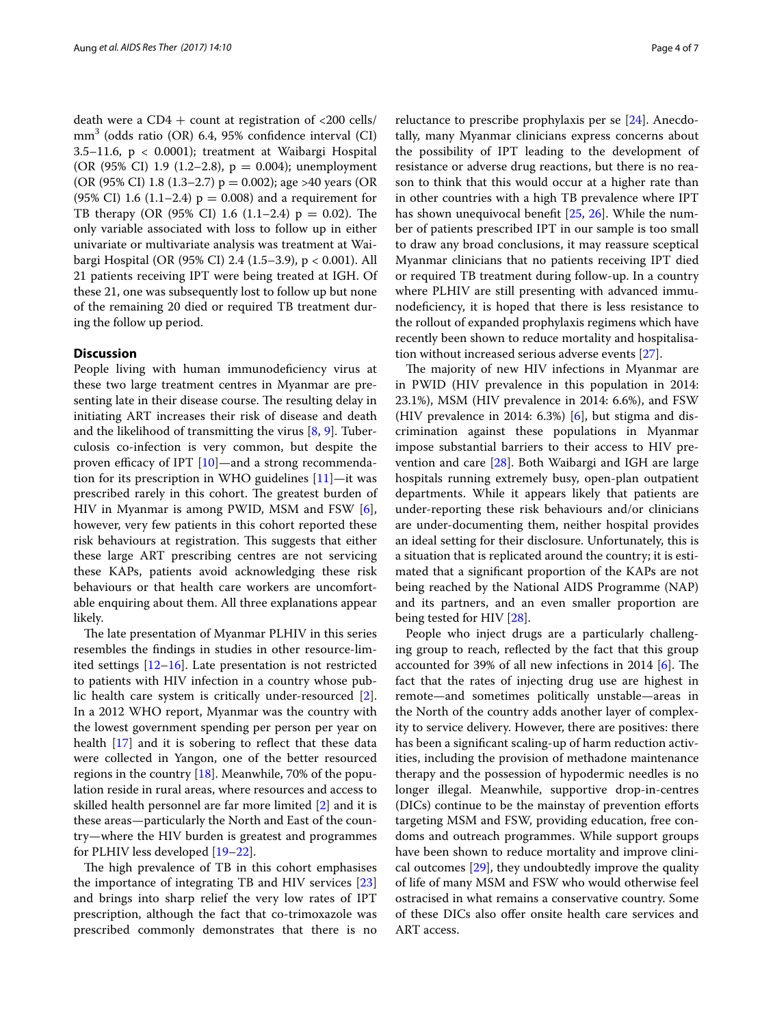death were a  $CD4 +$  count at registration of <200 cells/ mm3 (odds ratio (OR) 6.4, 95% confidence interval (CI) 3.5–11.6,  $p < 0.0001$ ); treatment at Waibargi Hospital (OR (95% CI) 1.9 (1.2–2.8), p = 0.004); unemployment (OR (95% CI) 1.8 (1.3–2.7) p = 0.002); age >40 years (OR (95% CI) 1.6 (1.1–2.4)  $p = 0.008$ ) and a requirement for TB therapy (OR (95% CI) 1.6 (1.1–2.4)  $p = 0.02$ ). The only variable associated with loss to follow up in either univariate or multivariate analysis was treatment at Waibargi Hospital (OR (95% CI) 2.4 (1.5–3.9), p < 0.001). All 21 patients receiving IPT were being treated at IGH. Of these 21, one was subsequently lost to follow up but none of the remaining 20 died or required TB treatment during the follow up period.

# **Discussion**

People living with human immunodeficiency virus at these two large treatment centres in Myanmar are presenting late in their disease course. The resulting delay in initiating ART increases their risk of disease and death and the likelihood of transmitting the virus [\[8,](#page-6-6) [9\]](#page-6-7). Tuberculosis co-infection is very common, but despite the proven efficacy of IPT [[10](#page-6-8)]—and a strong recommendation for its prescription in WHO guidelines  $[11]$ —it was prescribed rarely in this cohort. The greatest burden of HIV in Myanmar is among PWID, MSM and FSW [\[6](#page-6-5)], however, very few patients in this cohort reported these risk behaviours at registration. This suggests that either these large ART prescribing centres are not servicing these KAPs, patients avoid acknowledging these risk behaviours or that health care workers are uncomfortable enquiring about them. All three explanations appear likely.

The late presentation of Myanmar PLHIV in this series resembles the findings in studies in other resource-limited settings [[12–](#page-6-10)[16](#page-6-11)]. Late presentation is not restricted to patients with HIV infection in a country whose public health care system is critically under-resourced [\[2](#page-6-1)]. In a 2012 WHO report, Myanmar was the country with the lowest government spending per person per year on health [\[17](#page-6-12)] and it is sobering to reflect that these data were collected in Yangon, one of the better resourced regions in the country [[18\]](#page-6-13). Meanwhile, 70% of the population reside in rural areas, where resources and access to skilled health personnel are far more limited [\[2](#page-6-1)] and it is these areas—particularly the North and East of the country—where the HIV burden is greatest and programmes for PLHIV less developed [\[19](#page-6-14)[–22\]](#page-6-15).

The high prevalence of TB in this cohort emphasises the importance of integrating TB and HIV services [[23](#page-6-16)] and brings into sharp relief the very low rates of IPT prescription, although the fact that co-trimoxazole was prescribed commonly demonstrates that there is no reluctance to prescribe prophylaxis per se [[24\]](#page-6-17). Anecdotally, many Myanmar clinicians express concerns about the possibility of IPT leading to the development of resistance or adverse drug reactions, but there is no reason to think that this would occur at a higher rate than in other countries with a high TB prevalence where IPT has shown unequivocal benefit [[25](#page-6-18), [26\]](#page-6-19). While the number of patients prescribed IPT in our sample is too small to draw any broad conclusions, it may reassure sceptical Myanmar clinicians that no patients receiving IPT died or required TB treatment during follow-up. In a country where PLHIV are still presenting with advanced immunodeficiency, it is hoped that there is less resistance to the rollout of expanded prophylaxis regimens which have recently been shown to reduce mortality and hospitalisation without increased serious adverse events [\[27](#page-6-20)].

The majority of new HIV infections in Myanmar are in PWID (HIV prevalence in this population in 2014: 23.1%), MSM (HIV prevalence in 2014: 6.6%), and FSW (HIV prevalence in 2014: 6.3%) [[6\]](#page-6-5), but stigma and discrimination against these populations in Myanmar impose substantial barriers to their access to HIV prevention and care [[28\]](#page-6-21). Both Waibargi and IGH are large hospitals running extremely busy, open-plan outpatient departments. While it appears likely that patients are under-reporting these risk behaviours and/or clinicians are under-documenting them, neither hospital provides an ideal setting for their disclosure. Unfortunately, this is a situation that is replicated around the country; it is estimated that a significant proportion of the KAPs are not being reached by the National AIDS Programme (NAP) and its partners, and an even smaller proportion are being tested for HIV [[28\]](#page-6-21).

People who inject drugs are a particularly challenging group to reach, reflected by the fact that this group accounted for 39% of all new infections in 2014 [[6\]](#page-6-5). The fact that the rates of injecting drug use are highest in remote—and sometimes politically unstable—areas in the North of the country adds another layer of complexity to service delivery. However, there are positives: there has been a significant scaling-up of harm reduction activities, including the provision of methadone maintenance therapy and the possession of hypodermic needles is no longer illegal. Meanwhile, supportive drop-in-centres (DICs) continue to be the mainstay of prevention efforts targeting MSM and FSW, providing education, free condoms and outreach programmes. While support groups have been shown to reduce mortality and improve clinical outcomes [[29\]](#page-6-22), they undoubtedly improve the quality of life of many MSM and FSW who would otherwise feel ostracised in what remains a conservative country. Some of these DICs also offer onsite health care services and ART access.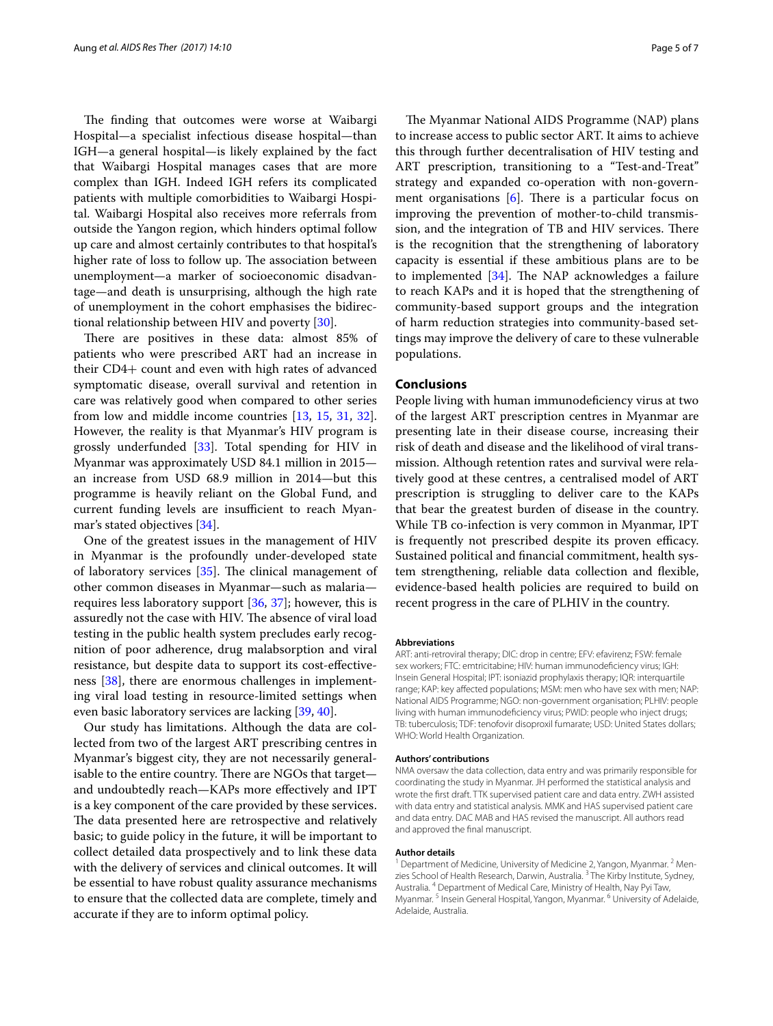The finding that outcomes were worse at Waibargi Hospital—a specialist infectious disease hospital—than IGH—a general hospital—is likely explained by the fact that Waibargi Hospital manages cases that are more complex than IGH. Indeed IGH refers its complicated patients with multiple comorbidities to Waibargi Hospital. Waibargi Hospital also receives more referrals from outside the Yangon region, which hinders optimal follow up care and almost certainly contributes to that hospital's higher rate of loss to follow up. The association between unemployment—a marker of socioeconomic disadvantage—and death is unsurprising, although the high rate of unemployment in the cohort emphasises the bidirectional relationship between HIV and poverty [\[30](#page-6-23)].

There are positives in these data: almost 85% of patients who were prescribed ART had an increase in their CD4+ count and even with high rates of advanced symptomatic disease, overall survival and retention in care was relatively good when compared to other series from low and middle income countries [\[13](#page-6-24), [15,](#page-6-25) [31](#page-6-26), [32](#page-6-27)]. However, the reality is that Myanmar's HIV program is grossly underfunded [\[33](#page-6-28)]. Total spending for HIV in Myanmar was approximately USD 84.1 million in 2015 an increase from USD 68.9 million in 2014—but this programme is heavily reliant on the Global Fund, and current funding levels are insufficient to reach Myanmar's stated objectives [[34\]](#page-7-0).

One of the greatest issues in the management of HIV in Myanmar is the profoundly under-developed state of laboratory services [\[35](#page-7-1)]. The clinical management of other common diseases in Myanmar—such as malaria requires less laboratory support [[36,](#page-7-2) [37\]](#page-7-3); however, this is assuredly not the case with HIV. The absence of viral load testing in the public health system precludes early recognition of poor adherence, drug malabsorption and viral resistance, but despite data to support its cost-effectiveness [[38\]](#page-7-4), there are enormous challenges in implementing viral load testing in resource-limited settings when even basic laboratory services are lacking [\[39,](#page-7-5) [40](#page-7-6)].

Our study has limitations. Although the data are collected from two of the largest ART prescribing centres in Myanmar's biggest city, they are not necessarily generalisable to the entire country. There are NGOs that target and undoubtedly reach—KAPs more effectively and IPT is a key component of the care provided by these services. The data presented here are retrospective and relatively basic; to guide policy in the future, it will be important to collect detailed data prospectively and to link these data with the delivery of services and clinical outcomes. It will be essential to have robust quality assurance mechanisms to ensure that the collected data are complete, timely and accurate if they are to inform optimal policy.

The Myanmar National AIDS Programme (NAP) plans to increase access to public sector ART. It aims to achieve this through further decentralisation of HIV testing and ART prescription, transitioning to a "Test-and-Treat" strategy and expanded co-operation with non-government organisations  $[6]$  $[6]$ . There is a particular focus on improving the prevention of mother-to-child transmission, and the integration of TB and HIV services. There is the recognition that the strengthening of laboratory capacity is essential if these ambitious plans are to be to implemented [\[34\]](#page-7-0). The NAP acknowledges a failure to reach KAPs and it is hoped that the strengthening of community-based support groups and the integration of harm reduction strategies into community-based settings may improve the delivery of care to these vulnerable populations.

## **Conclusions**

People living with human immunodeficiency virus at two of the largest ART prescription centres in Myanmar are presenting late in their disease course, increasing their risk of death and disease and the likelihood of viral transmission. Although retention rates and survival were relatively good at these centres, a centralised model of ART prescription is struggling to deliver care to the KAPs that bear the greatest burden of disease in the country. While TB co-infection is very common in Myanmar, IPT is frequently not prescribed despite its proven efficacy. Sustained political and financial commitment, health system strengthening, reliable data collection and flexible, evidence-based health policies are required to build on recent progress in the care of PLHIV in the country.

#### **Abbreviations**

ART: anti-retroviral therapy; DIC: drop in centre; EFV: efavirenz; FSW: female sex workers; FTC: emtricitabine; HIV: human immunodeficiency virus; IGH: Insein General Hospital; IPT: isoniazid prophylaxis therapy; IQR: interquartile range; KAP: key affected populations; MSM: men who have sex with men; NAP: National AIDS Programme; NGO: non-government organisation; PLHIV: people living with human immunodeficiency virus; PWID: people who inject drugs; TB: tuberculosis; TDF: tenofovir disoproxil fumarate; USD: United States dollars; WHO: World Health Organization.

## **Authors' contributions**

NMA oversaw the data collection, data entry and was primarily responsible for coordinating the study in Myanmar. JH performed the statistical analysis and wrote the first draft. TTK supervised patient care and data entry. ZWH assisted with data entry and statistical analysis. MMK and HAS supervised patient care and data entry. DAC MAB and HAS revised the manuscript. All authors read and approved the final manuscript.

#### **Author details**

 $1$  Department of Medicine, University of Medicine 2, Yangon, Myanmar.  $2$  Menzies School of Health Research, Darwin, Australia.<sup>3</sup> The Kirby Institute, Sydney, Australia. 4 Department of Medical Care, Ministry of Health, Nay Pyi Taw, Myanmar. <sup>5</sup> Insein General Hospital, Yangon, Myanmar. 6 University of Adelaide, Adelaide, Australia.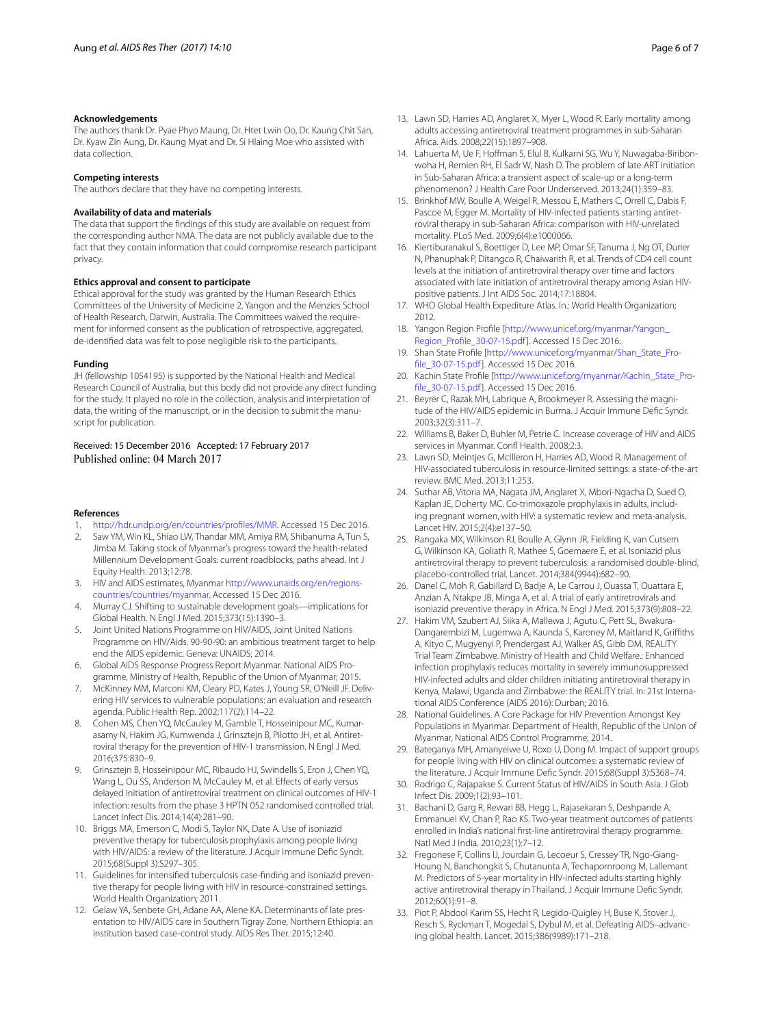#### **Acknowledgements**

The authors thank Dr. Pyae Phyo Maung, Dr. Htet Lwin Oo, Dr. Kaung Chit San, Dr. Kyaw Zin Aung, Dr. Kaung Myat and Dr. Si Hlaing Moe who assisted with data collection.

#### **Competing interests**

The authors declare that they have no competing interests.

#### **Availability of data and materials**

The data that support the findings of this study are available on request from the corresponding author NMA. The data are not publicly available due to the fact that they contain information that could compromise research participant privacy.

#### **Ethics approval and consent to participate**

Ethical approval for the study was granted by the Human Research Ethics Committees of the University of Medicine 2, Yangon and the Menzies School of Health Research, Darwin, Australia. The Committees waived the requirement for informed consent as the publication of retrospective, aggregated, de-identified data was felt to pose negligible risk to the participants.

#### **Funding**

JH (fellowship 1054195) is supported by the National Health and Medical Research Council of Australia, but this body did not provide any direct funding for the study. It played no role in the collection, analysis and interpretation of data, the writing of the manuscript, or in the decision to submit the manuscript for publication.

## Received: 15 December 2016 Accepted: 17 February 2017 Published online: 04 March 2017

### **References**

- <span id="page-6-0"></span>1. <http://hdr.undp.org/en/countries/profiles/MMR>. Accessed 15 Dec 2016.
- <span id="page-6-1"></span>2. Saw YM, Win KL, Shiao LW, Thandar MM, Amiya RM, Shibanuma A, Tun S, Jimba M. Taking stock of Myanmar's progress toward the health-related Millennium Development Goals: current roadblocks, paths ahead. Int J Equity Health. 2013;12:78.
- <span id="page-6-2"></span>3. HIV and AIDS estimates, Myanmar [http://www.unaids.org/en/regions](http://www.unaids.org/en/regionscountries/countries/myanmar)[countries/countries/myanmar](http://www.unaids.org/en/regionscountries/countries/myanmar). Accessed 15 Dec 2016.
- <span id="page-6-3"></span>4. Murray CJ. Shifting to sustainable development goals—implications for Global Health. N Engl J Med. 2015;373(15):1390–3.
- <span id="page-6-4"></span>5. Joint United Nations Programme on HIV/AIDS, Joint United Nations Programme on HIV/Aids. 90-90-90: an ambitious treatment target to help end the AIDS epidemic. Geneva: UNAIDS; 2014.
- <span id="page-6-5"></span>6. Global AIDS Response Progress Report Myanmar. National AIDS Programme, Ministry of Health, Republic of the Union of Myanmar; 2015.
- 7. McKinney MM, Marconi KM, Cleary PD, Kates J, Young SR, O'Neill JF. Delivering HIV services to vulnerable populations: an evaluation and research agenda. Public Health Rep. 2002;117(2):114–22.
- <span id="page-6-6"></span>8. Cohen MS, Chen YQ, McCauley M, Gamble T, Hosseinipour MC, Kumarasamy N, Hakim JG, Kumwenda J, Grinsztejn B, Pilotto JH, et al. Antiretroviral therapy for the prevention of HIV-1 transmission. N Engl J Med. 2016;375:830–9.
- <span id="page-6-7"></span>9. Grinsztejn B, Hosseinipour MC, Ribaudo HJ, Swindells S, Eron J, Chen YQ, Wang L, Ou SS, Anderson M, McCauley M, et al. Effects of early versus delayed initiation of antiretroviral treatment on clinical outcomes of HIV-1 infection: results from the phase 3 HPTN 052 randomised controlled trial. Lancet Infect Dis. 2014;14(4):281–90.
- <span id="page-6-8"></span>10. Briggs MA, Emerson C, Modi S, Taylor NK, Date A. Use of isoniazid preventive therapy for tuberculosis prophylaxis among people living with HIV/AIDS: a review of the literature. J Acquir Immune Defic Syndr. 2015;68(Suppl 3):S297–305.
- <span id="page-6-9"></span>11. Guidelines for intensified tuberculosis case-finding and isoniazid preventive therapy for people living with HIV in resource-constrained settings. World Health Organization; 2011.
- <span id="page-6-10"></span>12. Gelaw YA, Senbete GH, Adane AA, Alene KA. Determinants of late presentation to HIV/AIDS care in Southern Tigray Zone, Northern Ethiopia: an institution based case-control study. AIDS Res Ther. 2015;12:40.

Africa. Aids. 2008;22(15):1897–908. 14. Lahuerta M, Ue F, Hoffman S, Elul B, Kulkarni SG, Wu Y, Nuwagaba-Biribonwoha H, Remien RH, El Sadr W, Nash D. The problem of late ART initiation in Sub-Saharan Africa: a transient aspect of scale-up or a long-term phenomenon? J Health Care Poor Underserved. 2013;24(1):359–83.

<span id="page-6-24"></span>adults accessing antiretroviral treatment programmes in sub-Saharan

- <span id="page-6-25"></span>15. Brinkhof MW, Boulle A, Weigel R, Messou E, Mathers C, Orrell C, Dabis F, Pascoe M, Egger M. Mortality of HIV-infected patients starting antiretroviral therapy in sub-Saharan Africa: comparison with HIV-unrelated mortality. PLoS Med. 2009;6(4):e1000066.
- <span id="page-6-11"></span>16. Kiertiburanakul S, Boettiger D, Lee MP, Omar SF, Tanuma J, Ng OT, Durier N, Phanuphak P, Ditangco R, Chaiwarith R, et al. Trends of CD4 cell count levels at the initiation of antiretroviral therapy over time and factors associated with late initiation of antiretroviral therapy among Asian HIVpositive patients. J Int AIDS Soc. 2014;17:18804.
- <span id="page-6-12"></span>17. WHO Global Health Expediture Atlas. In.: World Health Organization; 2012.
- <span id="page-6-13"></span>18. Yangon Region Profile [\[http://www.unicef.org/myanmar/Yangon\\_](http://www.unicef.org/myanmar/Yangon_Region_Profile_30-07-15.pdf) [Region\\_Profile\\_30-07-15.pdf\]](http://www.unicef.org/myanmar/Yangon_Region_Profile_30-07-15.pdf). Accessed 15 Dec 2016.
- <span id="page-6-14"></span>19. Shan State Profile [\[http://www.unicef.org/myanmar/Shan\\_State\\_Pro](http://www.unicef.org/myanmar/Shan_State_Profile_30-07-15.pdf)[file\\_30-07-15.pdf](http://www.unicef.org/myanmar/Shan_State_Profile_30-07-15.pdf)]. Accessed 15 Dec 2016.
- 20. Kachin State Profile [[http://www.unicef.org/myanmar/Kachin\\_State\\_Pro](http://www.unicef.org/myanmar/Kachin_State_Profile_30-07-15.pdf)[file\\_30-07-15.pdf](http://www.unicef.org/myanmar/Kachin_State_Profile_30-07-15.pdf)]. Accessed 15 Dec 2016.
- 21. Beyrer C, Razak MH, Labrique A, Brookmeyer R. Assessing the magnitude of the HIV/AIDS epidemic in Burma. J Acquir Immune Defic Syndr. 2003;32(3):311–7.
- <span id="page-6-15"></span>22. Williams B, Baker D, Buhler M, Petrie C. Increase coverage of HIV and AIDS services in Myanmar. Confl Health. 2008;2:3.
- <span id="page-6-16"></span>23. Lawn SD, Meintjes G, McIlleron H, Harries AD, Wood R. Management of HIV-associated tuberculosis in resource-limited settings: a state-of-the-art review. BMC Med. 2013;11:253.
- <span id="page-6-17"></span>24. Suthar AB, Vitoria MA, Nagata JM, Anglaret X, Mbori-Ngacha D, Sued O, Kaplan JE, Doherty MC. Co-trimoxazole prophylaxis in adults, including pregnant women, with HIV: a systematic review and meta-analysis. Lancet HIV. 2015;2(4):e137–50.
- <span id="page-6-18"></span>25. Rangaka MX, Wilkinson RJ, Boulle A, Glynn JR, Fielding K, van Cutsem G, Wilkinson KA, Goliath R, Mathee S, Goemaere E, et al. Isoniazid plus antiretroviral therapy to prevent tuberculosis: a randomised double-blind, placebo-controlled trial. Lancet. 2014;384(9944):682–90.
- <span id="page-6-19"></span>26. Danel C, Moh R, Gabillard D, Badje A, Le Carrou J, Ouassa T, Ouattara E, Anzian A, Ntakpe JB, Minga A, et al. A trial of early antiretrovirals and isoniazid preventive therapy in Africa. N Engl J Med. 2015;373(9):808–22.
- <span id="page-6-20"></span>27. Hakim VM, Szubert AJ, Siika A, Mallewa J, Agutu C, Pett SL, Bwakura-Dangarembizi M, Lugemwa A, Kaunda S, Karoney M, Maitland K, Griffiths A, Kityo C, Mugyenyi P, Prendergast AJ, Walker AS, Gibb DM, REALITY Trial Team Zimbabwe. Ministry of Health and Child Welfare.: Enhanced infection prophylaxis reduces mortality in severely immunosuppressed HIV-infected adults and older children initiating antiretroviral therapy in Kenya, Malawi, Uganda and Zimbabwe: the REALITY trial. In: 21st International AIDS Conference (AIDS 2016): Durban; 2016.
- <span id="page-6-21"></span>28. National Guidelines. A Core Package for HIV Prevention Amongst Key Populations in Myanmar. Department of Health, Republic of the Union of Myanmar, National AIDS Control Programme; 2014.
- <span id="page-6-22"></span>29. Bateganya MH, Amanyeiwe U, Roxo U, Dong M. Impact of support groups for people living with HIV on clinical outcomes: a systematic review of the literature. J Acquir Immune Defic Syndr. 2015;68(Suppl 3):S368–74.
- <span id="page-6-23"></span>30. Rodrigo C, Rajapakse S. Current Status of HIV/AIDS in South Asia. J Glob Infect Dis. 2009;1(2):93–101.
- <span id="page-6-26"></span>31. Bachani D, Garg R, Rewari BB, Hegg L, Rajasekaran S, Deshpande A, Emmanuel KV, Chan P, Rao KS. Two-year treatment outcomes of patients enrolled in India's national first-line antiretroviral therapy programme. Natl Med J India. 2010;23(1):7–12.
- <span id="page-6-27"></span>32. Fregonese F, Collins IJ, Jourdain G, Lecoeur S, Cressey TR, Ngo-Giang-Houng N, Banchongkit S, Chutanunta A, Techapornroong M, Lallemant M. Predictors of 5-year mortality in HIV-infected adults starting highly active antiretroviral therapy in Thailand. J Acquir Immune Defic Syndr. 2012;60(1):91–8.
- <span id="page-6-28"></span>33. Piot P, Abdool Karim SS, Hecht R, Legido-Quigley H, Buse K, Stover J, Resch S, Ryckman T, Mogedal S, Dybul M, et al. Defeating AIDS–advancing global health. Lancet. 2015;386(9989):171–218.